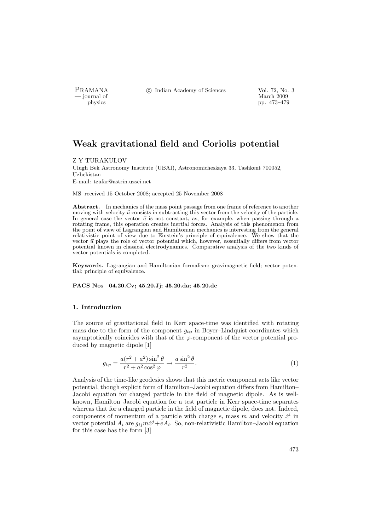- journal of<br>physics

PRAMANA <sup>C</sup> Indian Academy of Sciences Vol. 72, No. 3<br>
indian Academy of Sciences Vol. 72, No. 3

pp. 473–479

# Weak gravitational field and Coriolis potential

#### Z Y TURAKULOV

Ulugh Bek Astronomy Institute (UBAI), Astronomicheskaya 33, Tashkent 700052, Uzbekistan E-mail: tzafar@astrin.uzsci.net

MS received 15 October 2008; accepted 25 November 2008

Abstract. In mechanics of the mass point passage from one frame of reference to another moving with velocity  $\vec{u}$  consists in subtracting this vector from the velocity of the particle. In general case the vector  $\vec{u}$  is not constant, as, for example, when passing through a rotating frame, this operation creates inertial forces. Analysis of this phenomenon from the point of view of Lagrangian and Hamiltonian mechanics is interesting from the general relativistic point of view due to Einstein's principle of equivalence. We show that the vector  $\vec{u}$  plays the role of vector potential which, however, essentially differs from vector potential known in classical electrodynamics. Comparative analysis of the two kinds of vector potentials is completed.

Keywords. Lagrangian and Hamiltonian formalism; gravimagnetic field; vector potential; principle of equivalence.

PACS Nos 04.20.Cv; 45.20.Jj; 45.20.da; 45.20.dc

## 1. Introduction

The source of gravitational field in Kerr space-time was identified with rotating mass due to the form of the component  $g_{t\varphi}$  in Boyer–Lindquist coordinates which asymptotically coincides with that of the  $\varphi$ -component of the vector potential produced by magnetic dipole [1]

$$
g_{t\varphi} = \frac{a(r^2 + a^2)\sin^2\theta}{r^2 + a^2\cos^2\varphi} \to \frac{a\sin^2\theta}{r^2}.
$$
 (1)

Analysis of the time-like geodesics shows that this metric component acts like vector potential, though explicit form of Hamilton–Jacobi equation differs from Hamilton– Jacobi equation for charged particle in the field of magnetic dipole. As is wellknown, Hamilton–Jacobi equation for a test particle in Kerr space-time separates whereas that for a charged particle in the field of magnetic dipole, does not. Indeed, components of momentum of a particle with charge  $e$ , mass m and velocity  $\dot{x}^i$  in vector potential  $A_i$  are  $g_{ij}m\dot{x}^j + eA_i$ . So, non-relativistic Hamilton-Jacobi equation for this case has the form [3]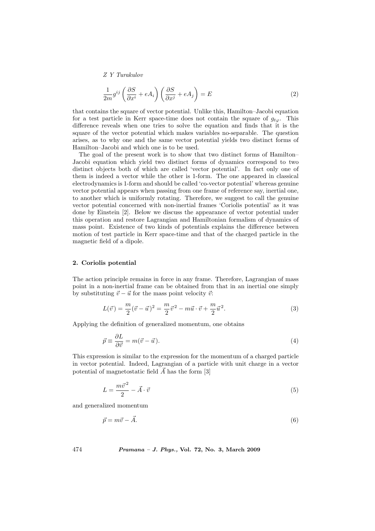Z Y Turakulov

$$
\frac{1}{2m}g^{ij}\left(\frac{\partial S}{\partial x^i} + eA_i\right)\left(\frac{\partial S}{\partial x^j} + eA_j\right) = E\tag{2}
$$

that contains the square of vector potential. Unlike this, Hamilton–Jacobi equation for a test particle in Kerr space-time does not contain the square of  $g_{t\varphi}$ . This difference reveals when one tries to solve the equation and finds that it is the square of the vector potential which makes variables no-separable. The question arises, as to why one and the same vector potential yields two distinct forms of Hamilton–Jacobi and which one is to be used.

The goal of the present work is to show that two distinct forms of Hamilton– Jacobi equation which yield two distinct forms of dynamics correspond to two distinct objects both of which are called 'vector potential'. In fact only one of them is indeed a vector while the other is 1-form. The one appeared in classical electrodynamics is 1-form and should be called 'co-vector potential' whereas genuine vector potential appears when passing from one frame of reference say, inertial one, to another which is uniformly rotating. Therefore, we suggest to call the genuine vector potential concerned with non-inertial frames 'Coriolis potential' as it was done by Einstein [2]. Below we discuss the appearance of vector potential under this operation and restore Lagrangian and Hamiltonian formalism of dynamics of mass point. Existence of two kinds of potentials explains the difference between motion of test particle in Kerr space-time and that of the charged particle in the magnetic field of a dipole.

#### 2. Coriolis potential

The action principle remains in force in any frame. Therefore, Lagrangian of mass point in a non-inertial frame can be obtained from that in an inertial one simply by substituting  $\vec{v} - \vec{u}$  for the mass point velocity  $\vec{v}$ :

$$
L(\vec{v}) = \frac{m}{2}(\vec{v} - \vec{u})^2 = \frac{m}{2}\vec{v}^2 - m\vec{u} \cdot \vec{v} + \frac{m}{2}\vec{u}^2.
$$
 (3)

Applying the definition of generalized momentum, one obtains

$$
\vec{p} \equiv \frac{\partial L}{\partial \vec{v}} = m(\vec{v} - \vec{u}).\tag{4}
$$

This expression is similar to the expression for the momentum of a charged particle in vector potential. Indeed, Lagrangian of a particle with unit charge in a vector potential of magnetostatic field  $\vec{A}$  has the form [3]

$$
L = \frac{m\vec{v}^2}{2} - \vec{A} \cdot \vec{v} \tag{5}
$$

and generalized momentum

$$
\vec{p} = m\vec{v} - \vec{A}.\tag{6}
$$

474 Pramana – J. Phys., Vol. 72, No. 3, March 2009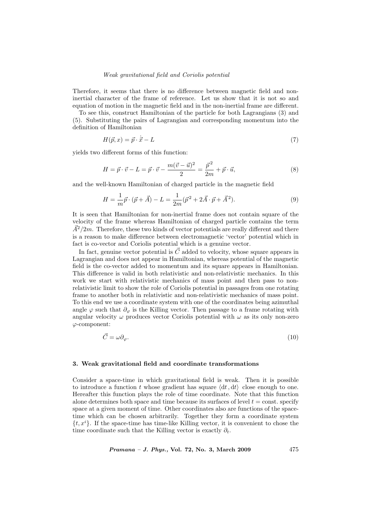#### Weak gravitational field and Coriolis potential

Therefore, it seems that there is no difference between magnetic field and noninertial character of the frame of reference. Let us show that it is not so and equation of motion in the magnetic field and in the non-inertial frame are different.

To see this, construct Hamiltonian of the particle for both Lagrangians (3) and (5). Substituting the pairs of Lagrangian and corresponding momentum into the definition of Hamiltonian

$$
H(\vec{p},x) = \vec{p} \cdot \dot{\vec{x}} - L \tag{7}
$$

yields two different forms of this function:

$$
H = \vec{p} \cdot \vec{v} - L = \vec{p} \cdot \vec{v} - \frac{m(\vec{v} - \vec{u})^2}{2} = \frac{\vec{p}^2}{2m} + \vec{p} \cdot \vec{u},\tag{8}
$$

and the well-known Hamiltonian of charged particle in the magnetic field

$$
H = \frac{1}{m}\vec{p} \cdot (\vec{p} + \vec{A}) - L = \frac{1}{2m}(\vec{p}^2 + 2\vec{A} \cdot \vec{p} + \vec{A}^2).
$$
 (9)

It is seen that Hamiltonian for non-inertial frame does not contain square of the velocity of the frame whereas Hamiltonian of charged particle contains the term  $\tilde{A}^2/2m$ . Therefore, these two kinds of vector potentials are really different and there is a reason to make difference between electromagnetic 'vector' potential which in fact is co-vector and Coriolis potential which is a genuine vector.

In fact, genuine vector potential is  $\vec{C}$  added to velocity, whose square appears in Lagrangian and does not appear in Hamiltonian, whereas potential of the magnetic field is the co-vector added to momentum and its square appears in Hamiltonian. This difference is valid in both relativistic and non-relativistic mechanics. In this work we start with relativistic mechanics of mass point and then pass to nonrelativistic limit to show the role of Coriolis potential in passages from one rotating frame to another both in relativistic and non-relativistic mechanics of mass point. To this end we use a coordinate system with one of the coordinates being azimuthal angle  $\varphi$  such that  $\partial_{\varphi}$  is the Killing vector. Then passage to a frame rotating with angular velocity  $\omega$  produces vector Coriolis potential with  $\omega$  as its only non-zero ϕ-component:

$$
\vec{C} = \omega \partial_{\varphi}.\tag{10}
$$

#### 3. Weak gravitational field and coordinate transformations

Consider a space-time in which gravitational field is weak. Then it is possible to introduce a function t whose gradient has square  $\langle dt, dt \rangle$  close enough to one. Hereafter this function plays the role of time coordinate. Note that this function alone determines both space and time because its surfaces of level  $t = \text{const.}$  specify space at a given moment of time. Other coordinates also are functions of the spacetime which can be chosen arbitrarily. Together they form a coordinate system  $\{t, x^i\}$ . If the space-time has time-like Killing vector, it is convenient to chose the time coordinate such that the Killing vector is exactly  $\partial_t$ .

Pramana – J. Phys., Vol. 72, No. 3, March 2009

\n
$$
475
$$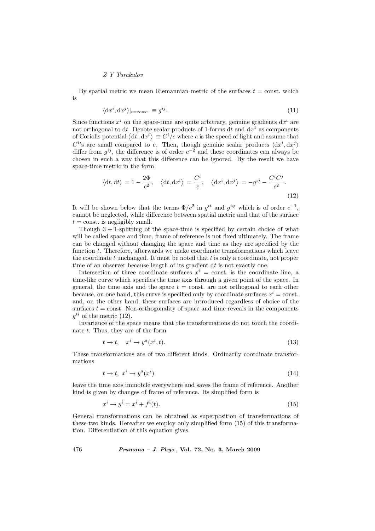# Z Y Turakulov

By spatial metric we mean Riemannian metric of the surfaces  $t = \text{const.}$  which is

$$
\langle \mathrm{d}x^i, \mathrm{d}x^j \rangle|_{t=\text{const.}} \equiv g^{ij}.\tag{11}
$$

Since functions  $x^i$  on the space-time are quite arbitrary, genuine gradients  $dx^i$  are not orthogonal to dt. Denote scalar products of 1-forms dt and  $dx^1$  as components not orthogonal to dt. Denote scalar products of 1-forms dt and  $dx^*$  as components<br>of Coriolis potential  $\langle dt, dx^i \rangle \equiv C^i/c$  where c is the speed of light and assume that  $C^i$ 's are small compared to c. Then, though genuine scalar products  $\langle dx^i, dx^j \rangle$ differ from  $g^{ij}$ , the difference is of order  $c^{-2}$  and these coordinates can always be chosen in such a way that this difference can be ignored. By the result we have space-time metric in the form

$$
\langle \mathrm{d}t, \mathrm{d}t \rangle = 1 - \frac{2\Phi}{c^2}, \quad \langle \mathrm{d}t, \mathrm{d}x^i \rangle = \frac{C^i}{c}, \quad \langle \mathrm{d}x^i, \mathrm{d}x^j \rangle = -g^{ij} - \frac{C^i C^j}{c^2}.
$$
\n(12)

It will be shown below that the terms  $\Phi/c^2$  in  $g^{tt}$  and  $g^{t\varphi}$  which is of order  $c^{-1}$ , cannot be neglected, while difference between spatial metric and that of the surface  $t = \text{const.}$  is negligibly small.

Though  $3 + 1$ -splitting of the space-time is specified by certain choice of what will be called space and time, frame of reference is not fixed ultimately. The frame can be changed without changing the space and time as they are specified by the function t. Therefore, afterwards we make coordinate transformations which leave the coordinate  $t$  unchanged. It must be noted that  $t$  is only a coordinate, not proper time of an observer because length of its gradient dt is not exactly one.

Intersection of three coordinate surfaces  $x^i = \text{const.}$  is the coordinate line, a time-like curve which specifies the time axis through a given point of the space. In general, the time axis and the space  $t = \text{const.}$  are not orthogonal to each other because, on one hand, this curve is specified only by coordinate surfaces  $x^i = \text{const.}$ and, on the other hand, these surfaces are introduced regardless of choice of the surfaces  $t = \text{const.}$  Non-orthogonality of space and time reveals in the components  $g^{ti}$  of the metric (12).

Invariance of the space means that the transformations do not touch the coordinate t. Thus, they are of the form

$$
t \to t, \quad x^i \to y^a(x^i, t). \tag{13}
$$

These transformations are of two different kinds. Ordinarily coordinate transformations

$$
t \to t, \ x^i \to y^a(x^i) \tag{14}
$$

leave the time axis immobile everywhere and saves the frame of reference. Another kind is given by changes of frame of reference. Its simplified form is

$$
x^i \to y^i = x^i + f^i(t). \tag{15}
$$

General transformations can be obtained as superposition of transformations of these two kinds. Hereafter we employ only simplified form (15) of this transformation. Differentiation of this equation gives

 $476$  Pramana – J. Phys., Vol. 72, No. 3, March 2009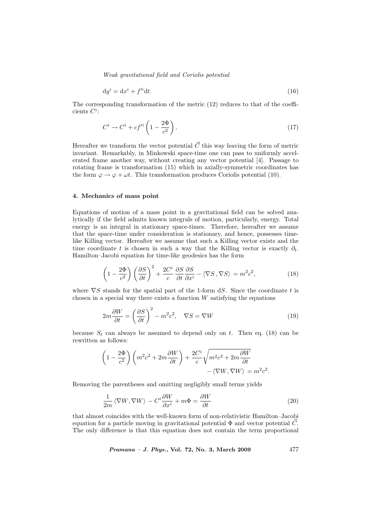Weak gravitational field and Coriolis potential

$$
dyi = dxi + f'idt.
$$
\n(16)

The corresponding transformation of the metric (12) reduces to that of the coefficients  $C^i$ :

$$
C^i \to C^i + cf'^i \left(1 - \frac{2\Phi}{c^2}\right). \tag{17}
$$

Hereafter we transform the vector potential  $\vec{C}$  this way leaving the form of metric invariant. Remarkably, in Minkowski space-time one can pass to uniformly accelerated frame another way, without creating any vector potential [4]. Passage to rotating frame is transformation (15) which in axially-symmetric coordinates has the form  $\varphi \to \varphi + \omega t$ . This transformation produces Coriolis potential (10).

## 4. Mechanics of mass point

Equations of motion of a mass point in a gravitational field can be solved analytically if the field admits known integrals of motion, particularly, energy. Total energy is an integral in stationary space-times. Therefore, hereafter we assume that the space-time under consideration is stationary, and hence, possesses timelike Killing vector. Hereafter we assume that such a Killing vector exists and the time coordinate t is chosen in such a way that the Killing vector is exactly  $\partial_t$ . Hamilton–Jacobi equation for time-like geodesics has the form

$$
\left(1 - \frac{2\Phi}{c^2}\right) \left(\frac{\partial S}{\partial t}\right)^2 + \frac{2C^i}{c} \frac{\partial S}{\partial t} \frac{\partial S}{\partial x^i} - \langle \nabla S, \nabla S \rangle = m^2 c^2,
$$
\n(18)

where  $\nabla S$  stands for the spatial part of the 1-form dS. Since the coordinate t is chosen in a special way there exists a function  $W$  satisfying the equations

$$
2m\frac{\partial W}{\partial t} = \left(\frac{\partial S}{\partial t}\right)^2 - m^2c^2, \quad \nabla S = \nabla W \tag{19}
$$

because  $S_t$  can always be assumed to depend only on t. Then eq. (18) can be rewritten as follows:

$$
\left(1 - \frac{2\Phi}{c^2}\right)\left(m^2c^2 + 2m\frac{\partial W}{\partial t}\right) + \frac{2C^i}{c}\sqrt{m^2c^2 + 2m\frac{\partial W}{\partial t}} - \langle \nabla W, \nabla W \rangle = m^2c^2.
$$

Removing the parentheses and omitting negligibly small terms yields

$$
\frac{1}{2m} \langle \nabla W, \nabla W \rangle - C^i \frac{\partial W}{\partial x^i} + m \Phi = \frac{\partial W}{\partial t}
$$
 (20)

that almost coincides with the well-known form of non-relativistic Hamilton–Jacobi equation for a particle moving in gravitational potential  $\Phi$  and vector potential  $\vec{C}$ . The only difference is that this equation does not contain the term proportional

Pramana – J. Phys., Vol. 72, No. 3, March 2009

\n
$$
477
$$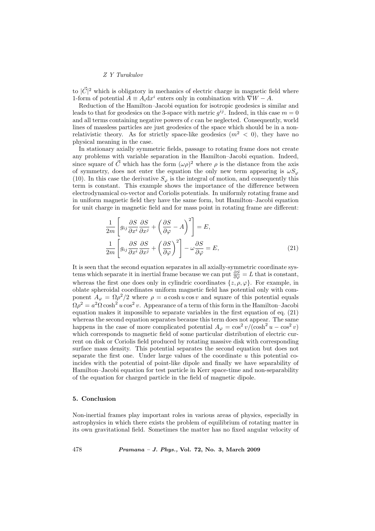# Z Y Turakulov

to  $|\vec{C}|^2$  which is obligatory in mechanics of electric charge in magnetic field where 1-form of potential  $A \equiv A_i dx^i$  enters only in combination with  $\nabla W - A$ .

Reduction of the Hamilton–Jacobi equation for isotropic geodesics is similar and leads to that for geodesics on the 3-space with metric  $g^{ij}$ . Indeed, in this case  $m = 0$ and all terms containing negative powers of c can be neglected. Consequently, world lines of massless particles are just geodesics of the space which should be in a nonrelativistic theory. As for strictly space-like geodesics  $(m^2 < 0)$ , they have no physical meaning in the case.

In stationary axially symmetric fields, passage to rotating frame does not create any problems with variable separation in the Hamilton–Jacobi equation. Indeed, since square of  $\vec{C}$  which has the form  $(\omega \rho)^2$  where  $\rho$  is the distance from the axis of symmetry, does not enter the equation the only new term appearing is  $\omega S_{\varphi}$ (10). In this case the derivative  $S_{\varphi}$  is the integral of motion, and consequently this term is constant. This example shows the importance of the difference between electrodynamical co-vector and Coriolis potentials. In uniformly rotating frame and in uniform magnetic field they have the same form, but Hamilton–Jacobi equation for unit charge in magnetic field and for mass point in rotating frame are different:

$$
\frac{1}{2m} \left[ g_{ij} \frac{\partial S}{\partial x^i} \frac{\partial S}{\partial x^j} + \left( \frac{\partial S}{\partial \varphi} - A \right)^2 \right] = E,
$$
\n
$$
\frac{1}{2m} \left[ g_{ij} \frac{\partial S}{\partial x^i} \frac{\partial S}{\partial x^j} + \left( \frac{\partial S}{\partial \varphi} \right)^2 \right] - \omega \frac{\partial S}{\partial \varphi} = E,
$$
\n(21)

It is seen that the second equation separates in all axially-symmetric coordinate systems which separate it in inertial frame because we can put  $\frac{\partial S}{\partial \varphi} = L$  that is constant, whereas the first one does only in cylindric coordinates  $\{z, \rho, \varphi\}$ . For example, in oblate spheroidal coordinates uniform magnetic field has potential only with component  $A_{\varphi} = \Omega \rho^2 / 2$  where  $\rho = a \cosh u \cos v$  and square of this potential equals  $\Omega \rho^2 = a^2 \Omega \cosh^2 u \cos^2 v$ . Appearance of a term of this form in the Hamilton–Jacobi equation makes it impossible to separate variables in the first equation of eq. (21) whereas the second equation separates because this term does not appear. The same happens in the case of more complicated potential  $A_{\varphi} = \cos^2 v / (\cosh^2 u - \cos^2 v)$ which corresponds to magnetic field of some particular distribution of electric current on disk or Coriolis field produced by rotating massive disk with corresponding surface mass density. This potential separates the second equation but does not separate the first one. Under large values of the coordinate  $u$  this potential coincides with the potential of point-like dipole and finally we have separability of Hamilton–Jacobi equation for test particle in Kerr space-time and non-separability of the equation for charged particle in the field of magnetic dipole.

## 5. Conclusion

Non-inertial frames play important roles in various areas of physics, especially in astrophysics in which there exists the problem of equilibrium of rotating matter in its own gravitational field. Sometimes the matter has no fixed angular velocity of

478 Pramana – J. Phys., Vol. 72, No. 3, March 2009